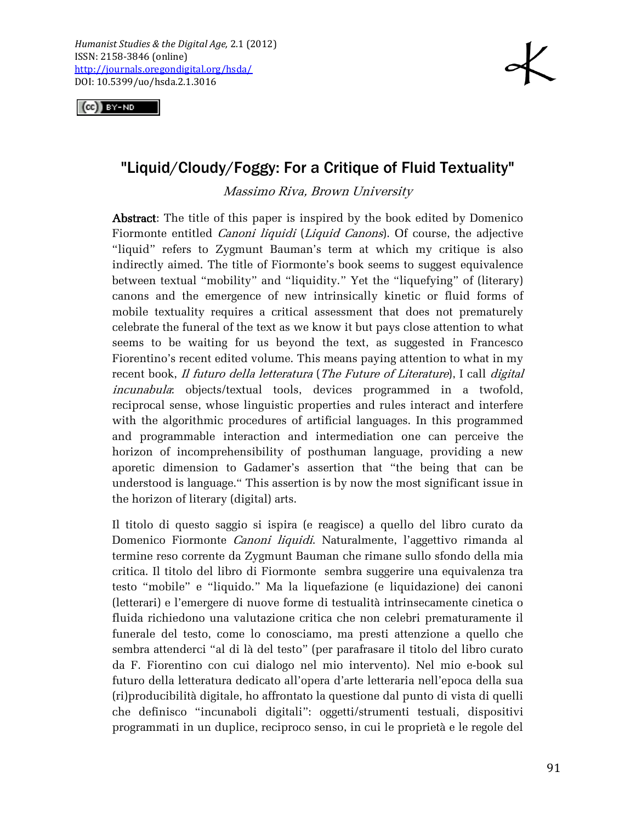$(G)$  BY-ND



## "Liquid/Cloudy/Foggy: For a Critique of Fluid Textuality"

Massimo Riva, Brown University

Abstract: The title of this paper is inspired by the book edited by Domenico Fiormonte entitled Canoni liquidi (Liquid Canons). Of course, the adjective "liquid" refers to Zygmunt Bauman's term at which my critique is also indirectly aimed. The title of Fiormonte's book seems to suggest equivalence between textual "mobility" and "liquidity." Yet the "liquefying" of (literary) canons and the emergence of new intrinsically kinetic or fluid forms of mobile textuality requires a critical assessment that does not prematurely celebrate the funeral of the text as we know it but pays close attention to what seems to be waiting for us beyond the text, as suggested in Francesco Fiorentino's recent edited volume. This means paying attention to what in my recent book, Il futuro della letteratura (The Future of Literature), I call digital incunabula: objects/textual tools, devices programmed in a twofold, reciprocal sense, whose linguistic properties and rules interact and interfere with the algorithmic procedures of artificial languages. In this programmed and programmable interaction and intermediation one can perceive the horizon of incomprehensibility of posthuman language, providing a new aporetic dimension to Gadamer's assertion that "the being that can be understood is language." This assertion is by now the most significant issue in the horizon of literary (digital) arts.

Il titolo di questo saggio si ispira (e reagisce) a quello del libro curato da Domenico Fiormonte Canoni liquidi. Naturalmente, l'aggettivo rimanda al termine reso corrente da Zygmunt Bauman che rimane sullo sfondo della mia critica. Il titolo del libro di Fiormonte sembra suggerire una equivalenza tra testo "mobile" e "liquido." Ma la liquefazione (e liquidazione) dei canoni (letterari) e l'emergere di nuove forme di testualità intrinsecamente cinetica o fluida richiedono una valutazione critica che non celebri prematuramente il funerale del testo, come lo conosciamo, ma presti attenzione a quello che sembra attenderci "al di là del testo" (per parafrasare il titolo del libro curato da F. Fiorentino con cui dialogo nel mio intervento). Nel mio e-book sul futuro della letteratura dedicato all'opera d'arte letteraria nell'epoca della sua (ri)producibilità digitale, ho affrontato la questione dal punto di vista di quelli che definisco "incunaboli digitali": oggetti/strumenti testuali, dispositivi programmati in un duplice, reciproco senso, in cui le proprietà e le regole del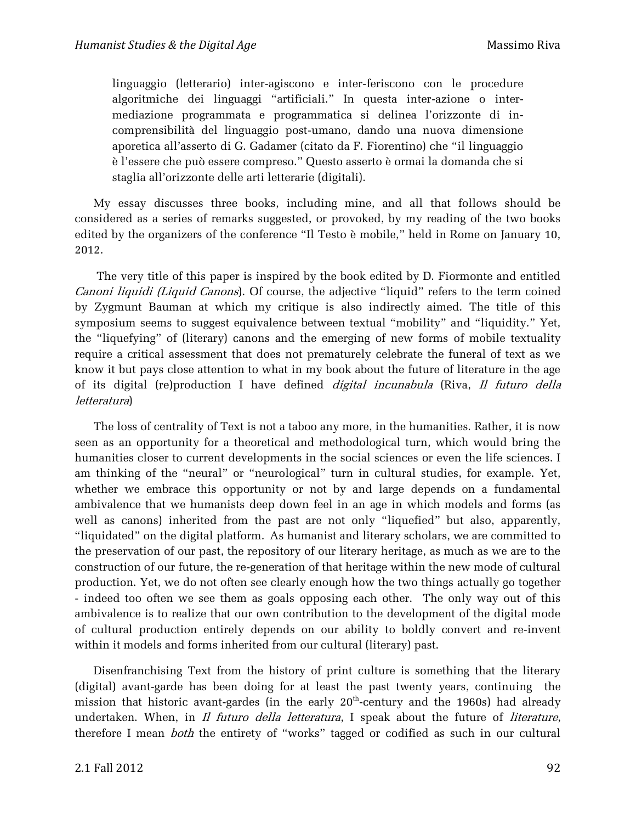linguaggio (letterario) inter-agiscono e inter-feriscono con le procedure algoritmiche dei linguaggi "artificiali." In questa inter-azione o intermediazione programmata e programmatica si delinea l'orizzonte di incomprensibilità del linguaggio post-umano, dando una nuova dimensione aporetica all'asserto di G. Gadamer (citato da F. Fiorentino) che "il linguaggio è l'essere che può essere compreso." Questo asserto è ormai la domanda che si staglia all'orizzonte delle arti letterarie (digitali).

My essay discusses three books, including mine, and all that follows should be considered as a series of remarks suggested, or provoked, by my reading of the two books edited by the organizers of the conference "Il Testo è mobile," held in Rome on January 10, 2012.

The very title of this paper is inspired by the book edited by D. Fiormonte and entitled Canoni liquidi (Liquid Canons). Of course, the adjective "liquid" refers to the term coined by Zygmunt Bauman at which my critique is also indirectly aimed. The title of this symposium seems to suggest equivalence between textual "mobility" and "liquidity." Yet, the "liquefying" of (literary) canons and the emerging of new forms of mobile textuality require a critical assessment that does not prematurely celebrate the funeral of text as we know it but pays close attention to what in my book about the future of literature in the age of its digital (re)production I have defined digital incunabula (Riva, Il futuro della letteratura)

The loss of centrality of Text is not a taboo any more, in the humanities. Rather, it is now seen as an opportunity for a theoretical and methodological turn, which would bring the humanities closer to current developments in the social sciences or even the life sciences. I am thinking of the "neural" or "neurological" turn in cultural studies, for example. Yet, whether we embrace this opportunity or not by and large depends on a fundamental ambivalence that we humanists deep down feel in an age in which models and forms (as well as canons) inherited from the past are not only "liquefied" but also, apparently, "liquidated" on the digital platform. As humanist and literary scholars, we are committed to the preservation of our past, the repository of our literary heritage, as much as we are to the construction of our future, the re-generation of that heritage within the new mode of cultural production. Yet, we do not often see clearly enough how the two things actually go together - indeed too often we see them as goals opposing each other. The only way out of this ambivalence is to realize that our own contribution to the development of the digital mode of cultural production entirely depends on our ability to boldly convert and re-invent within it models and forms inherited from our cultural (literary) past.

Disenfranchising Text from the history of print culture is something that the literary (digital) avant-garde has been doing for at least the past twenty years, continuing the mission that historic avant-gardes (in the early 20 $^{\rm th}$ -century and the 1960s) had already undertaken. When, in *Il futuro della letteratura*, I speak about the future of *literature*, therefore I mean *both* the entirety of "works" tagged or codified as such in our cultural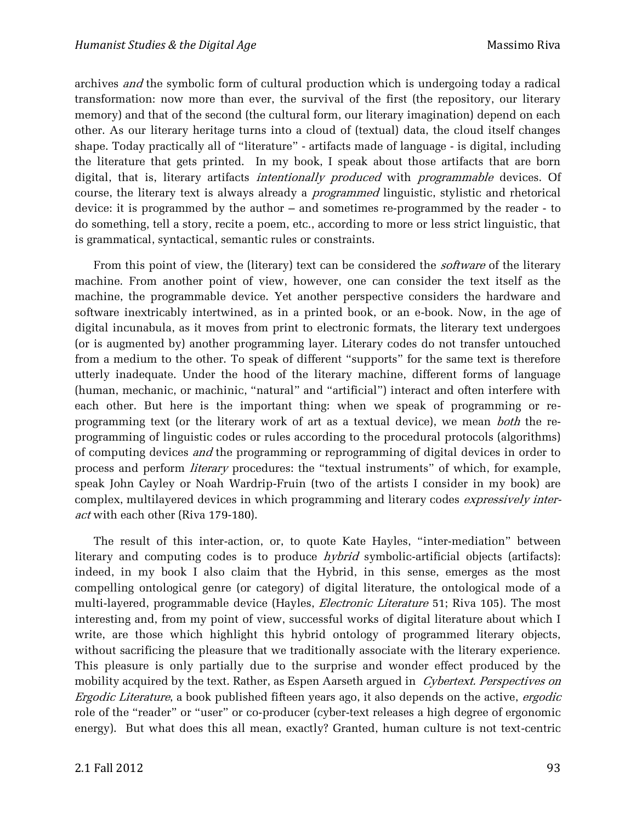archives and the symbolic form of cultural production which is undergoing today a radical transformation: now more than ever, the survival of the first (the repository, our literary memory) and that of the second (the cultural form, our literary imagination) depend on each other. As our literary heritage turns into a cloud of (textual) data, the cloud itself changes shape. Today practically all of "literature" - artifacts made of language - is digital, including the literature that gets printed. In my book, I speak about those artifacts that are born digital, that is, literary artifacts *intentionally produced* with *programmable* devices. Of course, the literary text is always already a *programmed* linguistic, stylistic and rhetorical device: it is programmed by the author – and sometimes re-programmed by the reader - to do something, tell a story, recite a poem, etc., according to more or less strict linguistic, that is grammatical, syntactical, semantic rules or constraints.

From this point of view, the (literary) text can be considered the *software* of the literary machine. From another point of view, however, one can consider the text itself as the machine, the programmable device. Yet another perspective considers the hardware and software inextricably intertwined, as in a printed book, or an e-book. Now, in the age of digital incunabula, as it moves from print to electronic formats, the literary text undergoes (or is augmented by) another programming layer. Literary codes do not transfer untouched from a medium to the other. To speak of different "supports" for the same text is therefore utterly inadequate. Under the hood of the literary machine, different forms of language (human, mechanic, or machinic, "natural" and "artificial") interact and often interfere with each other. But here is the important thing: when we speak of programming or reprogramming text (or the literary work of art as a textual device), we mean *both* the reprogramming of linguistic codes or rules according to the procedural protocols (algorithms) of computing devices *and* the programming or reprogramming of digital devices in order to process and perform literary procedures: the "textual instruments" of which, for example, speak John Cayley or Noah Wardrip-Fruin (two of the artists I consider in my book) are complex, multilayered devices in which programming and literary codes expressively interact with each other (Riva 179-180).

The result of this inter-action, or, to quote Kate Hayles, "inter-mediation" between literary and computing codes is to produce  $hybrid$  symbolic-artificial objects (artifacts): indeed, in my book I also claim that the Hybrid, in this sense, emerges as the most compelling ontological genre (or category) of digital literature, the ontological mode of a multi-layered, programmable device (Hayles, *Electronic Literature* 51; Riva 105). The most interesting and, from my point of view, successful works of digital literature about which I write, are those which highlight this hybrid ontology of programmed literary objects, without sacrificing the pleasure that we traditionally associate with the literary experience. This pleasure is only partially due to the surprise and wonder effect produced by the mobility acquired by the text. Rather, as Espen Aarseth argued in Cybertext. Perspectives on Ergodic Literature, a book published fifteen years ago, it also depends on the active, ergodic role of the "reader" or "user" or co-producer (cyber-text releases a high degree of ergonomic energy). But what does this all mean, exactly? Granted, human culture is not text-centric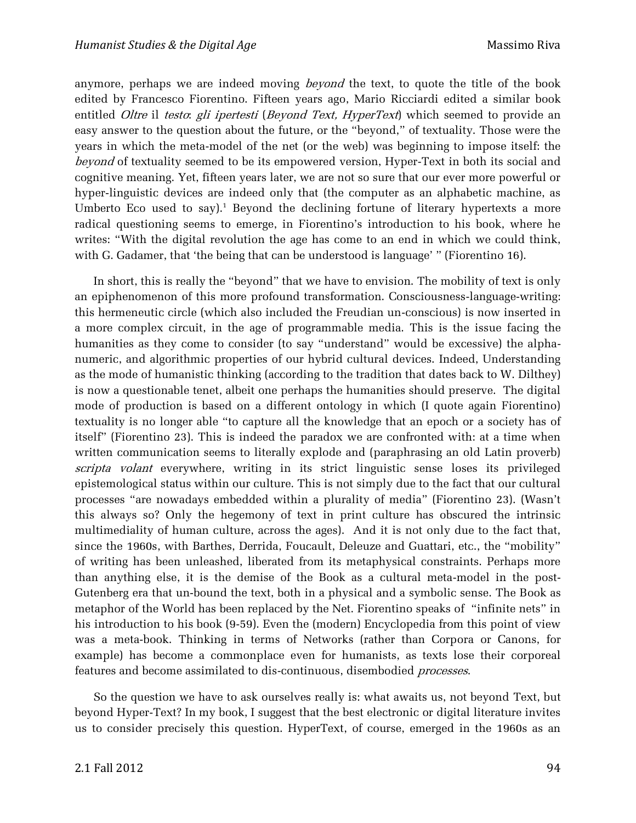anymore, perhaps we are indeed moving *beyond* the text, to quote the title of the book edited by Francesco Fiorentino. Fifteen years ago, Mario Ricciardi edited a similar book entitled Oltre il testo: gli ipertesti (Beyond Text, HyperText) which seemed to provide an easy answer to the question about the future, or the "beyond," of textuality. Those were the years in which the meta-model of the net (or the web) was beginning to impose itself: the beyond of textuality seemed to be its empowered version, Hyper-Text in both its social and cognitive meaning. Yet, fifteen years later, we are not so sure that our ever more powerful or hyper-linguistic devices are indeed only that (the computer as an alphabetic machine, as Umberto Eco used to say).<sup>1</sup> Beyond the declining fortune of literary hypertexts a more radical questioning seems to emerge, in Fiorentino's introduction to his book, where he writes: "With the digital revolution the age has come to an end in which we could think, with G. Gadamer, that 'the being that can be understood is language' " (Fiorentino 16).

In short, this is really the "beyond" that we have to envision. The mobility of text is only an epiphenomenon of this more profound transformation. Consciousness-language-writing: this hermeneutic circle (which also included the Freudian un-conscious) is now inserted in a more complex circuit, in the age of programmable media. This is the issue facing the humanities as they come to consider (to say "understand" would be excessive) the alphanumeric, and algorithmic properties of our hybrid cultural devices. Indeed, Understanding as the mode of humanistic thinking (according to the tradition that dates back to W. Dilthey) is now a questionable tenet, albeit one perhaps the humanities should preserve. The digital mode of production is based on a different ontology in which (I quote again Fiorentino) textuality is no longer able "to capture all the knowledge that an epoch or a society has of itself" (Fiorentino 23). This is indeed the paradox we are confronted with: at a time when written communication seems to literally explode and (paraphrasing an old Latin proverb) scripta volant everywhere, writing in its strict linguistic sense loses its privileged epistemological status within our culture. This is not simply due to the fact that our cultural processes "are nowadays embedded within a plurality of media" (Fiorentino 23). (Wasn't this always so? Only the hegemony of text in print culture has obscured the intrinsic multimediality of human culture, across the ages). And it is not only due to the fact that, since the 1960s, with Barthes, Derrida, Foucault, Deleuze and Guattari, etc., the "mobility" of writing has been unleashed, liberated from its metaphysical constraints. Perhaps more than anything else, it is the demise of the Book as a cultural meta-model in the post-Gutenberg era that un-bound the text, both in a physical and a symbolic sense. The Book as metaphor of the World has been replaced by the Net. Fiorentino speaks of "infinite nets" in his introduction to his book (9-59). Even the (modern) Encyclopedia from this point of view was a meta-book. Thinking in terms of Networks (rather than Corpora or Canons, for example) has become a commonplace even for humanists, as texts lose their corporeal features and become assimilated to dis-continuous, disembodied processes.

So the question we have to ask ourselves really is: what awaits us, not beyond Text, but beyond Hyper-Text? In my book, I suggest that the best electronic or digital literature invites us to consider precisely this question. HyperText, of course, emerged in the 1960s as an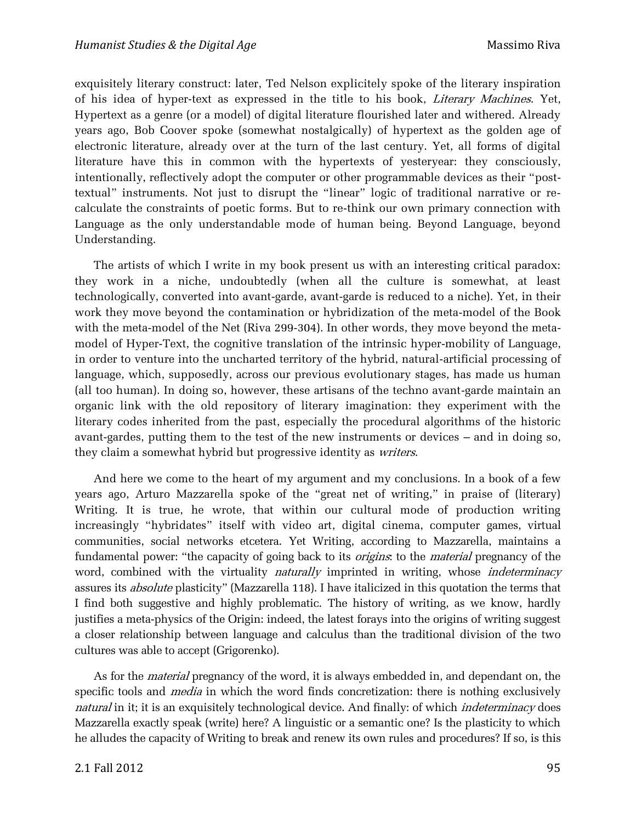exquisitely literary construct: later, Ted Nelson explicitely spoke of the literary inspiration of his idea of hyper-text as expressed in the title to his book, Literary Machines. Yet, Hypertext as a genre (or a model) of digital literature flourished later and withered. Already years ago, Bob Coover spoke (somewhat nostalgically) of hypertext as the golden age of electronic literature, already over at the turn of the last century. Yet, all forms of digital literature have this in common with the hypertexts of yesteryear: they consciously, intentionally, reflectively adopt the computer or other programmable devices as their "posttextual" instruments. Not just to disrupt the "linear" logic of traditional narrative or recalculate the constraints of poetic forms. But to re-think our own primary connection with Language as the only understandable mode of human being. Beyond Language, beyond Understanding.

The artists of which I write in my book present us with an interesting critical paradox: they work in a niche, undoubtedly (when all the culture is somewhat, at least technologically, converted into avant-garde, avant-garde is reduced to a niche). Yet, in their work they move beyond the contamination or hybridization of the meta-model of the Book with the meta-model of the Net (Riva 299-304). In other words, they move beyond the metamodel of Hyper-Text, the cognitive translation of the intrinsic hyper-mobility of Language, in order to venture into the uncharted territory of the hybrid, natural-artificial processing of language, which, supposedly, across our previous evolutionary stages, has made us human (all too human). In doing so, however, these artisans of the techno avant-garde maintain an organic link with the old repository of literary imagination: they experiment with the literary codes inherited from the past, especially the procedural algorithms of the historic avant-gardes, putting them to the test of the new instruments or devices – and in doing so, they claim a somewhat hybrid but progressive identity as writers.

And here we come to the heart of my argument and my conclusions. In a book of a few years ago, Arturo Mazzarella spoke of the "great net of writing," in praise of (literary) Writing. It is true, he wrote, that within our cultural mode of production writing increasingly "hybridates" itself with video art, digital cinema, computer games, virtual communities, social networks etcetera. Yet Writing, according to Mazzarella, maintains a fundamental power: "the capacity of going back to its *origins*: to the *material* pregnancy of the word, combined with the virtuality *naturally* imprinted in writing, whose *indeterminacy* assures its absolute plasticity" (Mazzarella 118). I have italicized in this quotation the terms that I find both suggestive and highly problematic. The history of writing, as we know, hardly justifies a meta-physics of the Origin: indeed, the latest forays into the origins of writing suggest a closer relationship between language and calculus than the traditional division of the two cultures was able to accept (Grigorenko).

As for the *material* pregnancy of the word, it is always embedded in, and dependant on, the specific tools and *media* in which the word finds concretization: there is nothing exclusively natural in it; it is an exquisitely technological device. And finally: of which *indeterminacy* does Mazzarella exactly speak (write) here? A linguistic or a semantic one? Is the plasticity to which he alludes the capacity of Writing to break and renew its own rules and procedures? If so, is this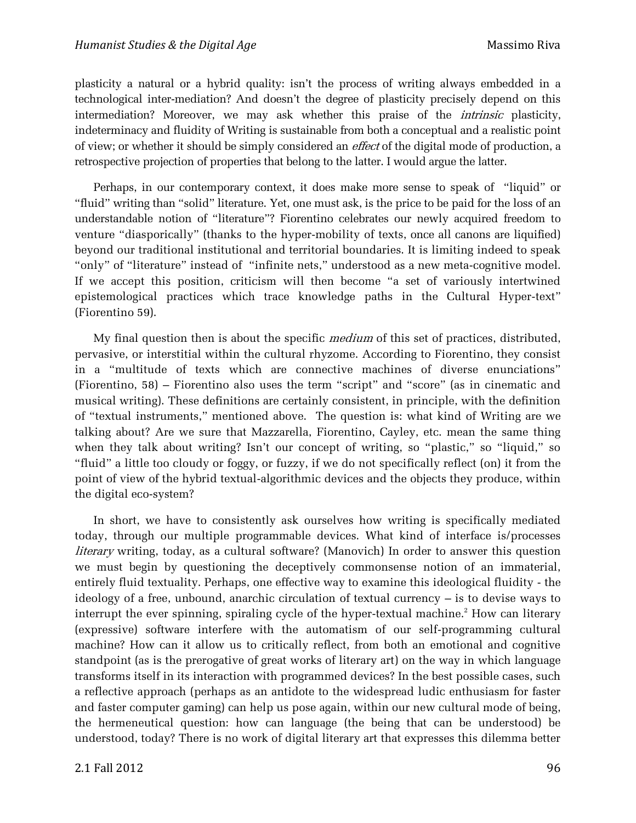plasticity a natural or a hybrid quality: isn't the process of writing always embedded in a technological inter-mediation? And doesn't the degree of plasticity precisely depend on this intermediation? Moreover, we may ask whether this praise of the intrinsic plasticity, indeterminacy and fluidity of Writing is sustainable from both a conceptual and a realistic point of view; or whether it should be simply considered an *effect* of the digital mode of production, a retrospective projection of properties that belong to the latter. I would argue the latter.

Perhaps, in our contemporary context, it does make more sense to speak of "liquid" or "fluid" writing than "solid" literature. Yet, one must ask, is the price to be paid for the loss of an understandable notion of "literature"? Fiorentino celebrates our newly acquired freedom to venture "diasporically" (thanks to the hyper-mobility of texts, once all canons are liquified) beyond our traditional institutional and territorial boundaries. It is limiting indeed to speak "only" of "literature" instead of "infinite nets," understood as a new meta-cognitive model. If we accept this position, criticism will then become "a set of variously intertwined epistemological practices which trace knowledge paths in the Cultural Hyper-text" (Fiorentino 59).

My final question then is about the specific *medium* of this set of practices, distributed, pervasive, or interstitial within the cultural rhyzome. According to Fiorentino, they consist in a "multitude of texts which are connective machines of diverse enunciations" (Fiorentino, 58) – Fiorentino also uses the term "script" and "score" (as in cinematic and musical writing). These definitions are certainly consistent, in principle, with the definition of "textual instruments," mentioned above. The question is: what kind of Writing are we talking about? Are we sure that Mazzarella, Fiorentino, Cayley, etc. mean the same thing when they talk about writing? Isn't our concept of writing, so "plastic," so "liquid," so "fluid" a little too cloudy or foggy, or fuzzy, if we do not specifically reflect (on) it from the point of view of the hybrid textual-algorithmic devices and the objects they produce, within the digital eco-system?

In short, we have to consistently ask ourselves how writing is specifically mediated today, through our multiple programmable devices. What kind of interface is/processes literary writing, today, as a cultural software? (Manovich) In order to answer this question we must begin by questioning the deceptively commonsense notion of an immaterial, entirely fluid textuality. Perhaps, one effective way to examine this ideological fluidity - the ideology of a free, unbound, anarchic circulation of textual currency – is to devise ways to interrupt the ever spinning, spiraling cycle of the hyper-textual machine.<sup>2</sup> How can literary (expressive) software interfere with the automatism of our self-programming cultural machine? How can it allow us to critically reflect, from both an emotional and cognitive standpoint (as is the prerogative of great works of literary art) on the way in which language transforms itself in its interaction with programmed devices? In the best possible cases, such a reflective approach (perhaps as an antidote to the widespread ludic enthusiasm for faster and faster computer gaming) can help us pose again, within our new cultural mode of being, the hermeneutical question: how can language (the being that can be understood) be understood, today? There is no work of digital literary art that expresses this dilemma better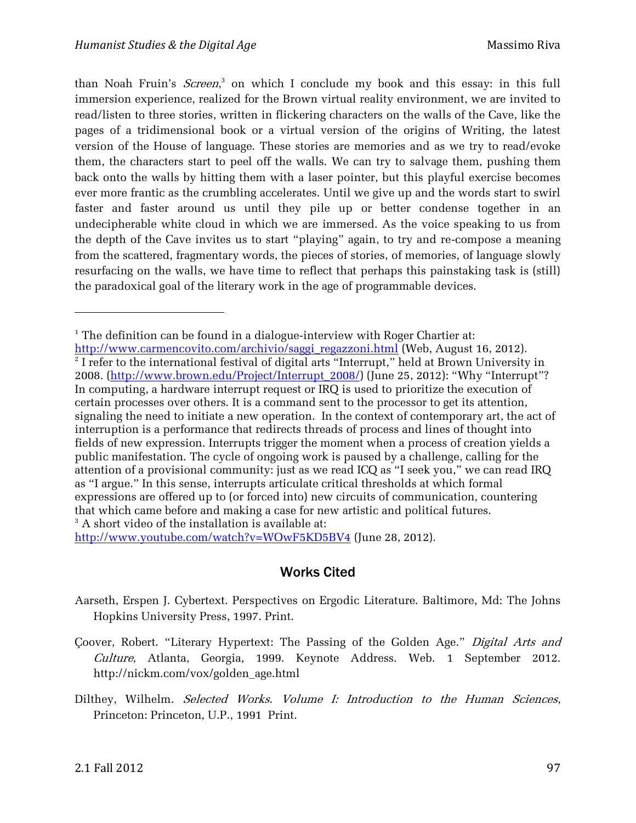than Noah Fruin's *Screen*,<sup>3</sup> on which I conclude my book and this essay: in this full immersion experience, realized for the Brown virtual reality environment, we are invited to read/listen to three stories, written in flickering characters on the walls of the Cave, like the pages of a tridimensional book or a virtual version of the origins of Writing, the latest version of the House of language. These stories are memories and as we try to read/evoke them, the characters start to peel off the walls. We can try to salvage them, pushing them back onto the walls by hitting them with a laser pointer, but this playful exercise becomes ever more frantic as the crumbling accelerates. Until we give up and the words start to swirl faster and faster around us until they pile up or better condense together in an undecipherable white cloud in which we are immersed. As the voice speaking to us from the depth of the Cave invites us to start "playing" again, to try and re-compose a meaning from the scattered, fragmentary words, the pieces of stories, of memories, of language slowly resurfacing on the walls, we have time to reflect that perhaps this painstaking task is (still) the paradoxical goal of the literary work in the age of programmable devices.

<http://www.youtube.com/watch?v=WOwF5KD5BV4> (June 28, 2012).

## Works Cited

- Aarseth, Erspen J. Cybertext. Perspectives on Ergodic Literature. Baltimore, Md: The Johns Hopkins University Press, 1997. Print.
- Çoover, Robert. "Literary Hypertext: The Passing of the Golden Age." Digital Arts and Culture, Atlanta, Georgia, 1999. Keynote Address. Web. 1 September 2012. http://nickm.com/vox/golden\_age.html
- Dilthey, Wilhelm. Selected Works. Volume I: Introduction to the Human Sciences, Princeton: Princeton, U.P., 1991 Print.

 $\overline{a}$ 

<sup>&</sup>lt;sup>1</sup> The definition can be found in a dialogue-interview with Roger Chartier at:

[http://www.carmencovito.com/archivio/saggi\\_regazzoni.html](http://www.carmencovito.com/archivio/saggi_regazzoni.html) (Web, August 16, 2012).  $2$  I refer to the international festival of digital arts "Interrupt," held at Brown University in 2008. [\(http://www.brown.edu/Project/Interrupt\\_2008/](http://www.brown.edu/Project/Interrupt_2008/)) (June 25, 2012): "Why "Interrupt"? In computing, a hardware interrupt request or IRQ is used to prioritize the execution of certain processes over others. It is a command sent to the processor to get its attention, signaling the need to initiate a new operation. In the context of contemporary art, the act of interruption is a performance that redirects threads of process and lines of thought into fields of new expression. Interrupts trigger the moment when a process of creation yields a public manifestation. The cycle of ongoing work is paused by a challenge, calling for the attention of a provisional community: just as we read ICQ as "I seek you," we can read IRQ as "I argue." In this sense, interrupts articulate critical thresholds at which formal expressions are offered up to (or forced into) new circuits of communication, countering that which came before and making a case for new artistic and political futures. <sup>3</sup> A short video of the installation is available at: